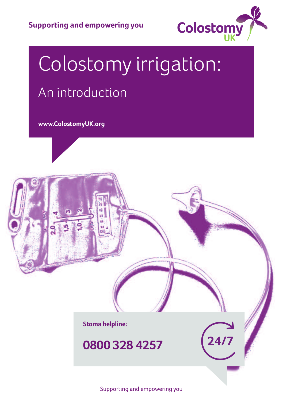

# Colostomy irrigation: An introduction

**www.ColostomyUK.org**



**0800 328 4257**

Supporting and empowering you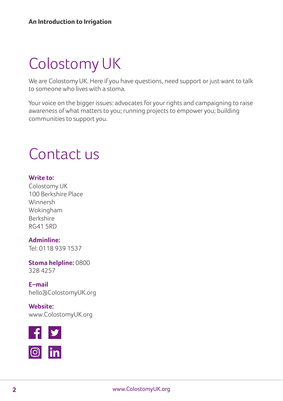## Colostomy UK

We are Colostomy UK. Here if you have questions, need support or just want to talk to someone who lives with a stoma.

Your voice on the bigger issues: advocates for your rights and campaigning to raise awareness of what matters to you; running projects to empower you; building communities to support you.

### Contact us

#### **Write to:**

Colostomy UK 100 Berkshire Place Winnersh Wokingham Berkshire RG41 5RD

#### **Adminline:**

Tel: 0118 939 1537

**Stoma helpline:** 0800 328 4257

**E–mail** hello@ColostomyUK.org

**Website:** www.ColostomyUK.org

![](_page_1_Picture_12.jpeg)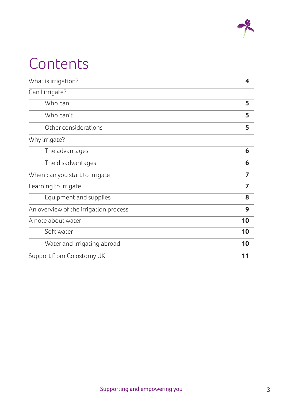![](_page_2_Picture_0.jpeg)

## **Contents**

| What is irrigation?                   | $\boldsymbol{4}$ |
|---------------------------------------|------------------|
| Can I irrigate?                       |                  |
| Who can                               | 5                |
| Who can't                             | 5                |
| Other considerations                  | 5                |
| Why irrigate?                         |                  |
| The advantages                        | 6                |
| The disadvantages                     | 6                |
| When can you start to irrigate        | 7                |
| Learning to irrigate                  | 7                |
| Equipment and supplies                | 8                |
| An overview of the irrigation process | 9                |
| A note about water                    | 10               |
| Soft water                            | 10               |
| Water and irrigating abroad           | 10               |
| Support from Colostomy UK             | 11               |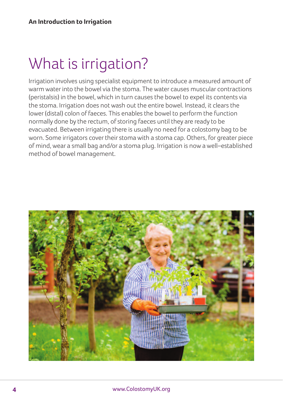### What is irrigation?

Irrigation involves using specialist equipment to introduce a measured amount of warm water into the bowel via the stoma. The water causes muscular contractions (peristalsis) in the bowel, which in turn causes the bowel to expel its contents via the stoma. Irrigation does not wash out the entire bowel. Instead, it clears the lower (distal) colon of faeces. This enables the bowel to perform the function normally done by the rectum, of storing faeces until they are ready to be evacuated. Between irrigating there is usually no need for a colostomy bag to be worn. Some irrigators cover their stoma with a stoma cap. Others, for greater piece of mind, wear a small bag and/or a stoma plug. Irrigation is now a well–established method of bowel management.

![](_page_3_Picture_3.jpeg)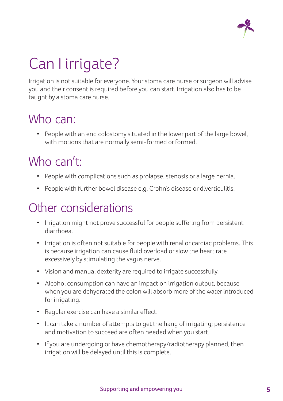![](_page_4_Picture_0.jpeg)

## Can I irrigate?

Irrigation is not suitable for everyone. Yourstoma care nurse orsurgeon will advise you and their consent is required before you can start. Irrigation also has to be taught by a stoma care nurse.

#### Who can:

• People with an end colostomy situated in the lower part of the large bowel, with motions that are normally semi-formed or formed.

#### Who can't:

- People with complications such as prolapse, stenosis or a large hernia.
- People with further bowel disease e.g. Crohn's disease or diverticulitis.

#### Other considerations

- Irrigation might not prove successful for people suffering from persistent diarrhoea.
- Irrigation is often not suitable for people with renal or cardiac problems. This is because irrigation can cause fluid overload orslow the heart rate excessively by stimulating the vagus nerve.
- Vision and manual dexterity are required to irrigate successfully.
- Alcohol consumption can have an impact on irrigation output, because when you are dehydrated the colon will absorb more of the water introduced for irrigating.
- Regular exercise can have a similar effect.
- It can take a number of attempts to get the hang of irrigating; persistence and motivation to succeed are often needed when you start.
- If you are undergoing or have chemotherapy/radiotherapy planned, then irrigation will be delayed until this is complete.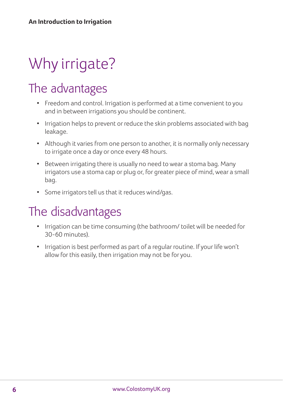## Why irrigate?

### The advantages

- Freedom and control. Irrigation is performed at a time convenient to you and in between irrigations you should be continent.
- Irrigation helps to prevent or reduce the skin problems associated with bag leakage.
- Although it varies from one person to another, it is normally only necessary to irrigate once a day or once every 48 hours.
- Between irrigating there is usually no need to wear a stoma bag. Many irrigators use a stoma cap or plug or, for greater piece of mind, wear a small bag.
- Some irrigators tell us that it reduces wind/gas.

#### The disadvantages

- Irrigation can be time consuming (the bathroom/ toilet will be needed for 30-60 minutes).
- Irrigation is best performed as part of a regular routine. If your life won't allow for this easily, then irrigation may not be for you.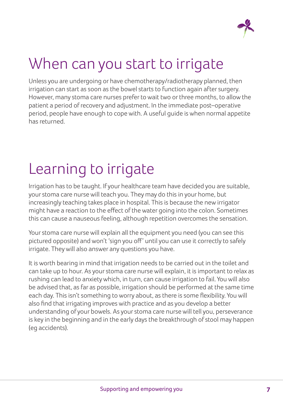![](_page_6_Picture_0.jpeg)

### When can you start to irrigate

Unless you are undergoing or have chemotherapy/radiotherapy planned, then irrigation can start as soon as the bowel starts to function again after surgery. However, many stoma care nurses prefer to wait two or three months, to allow the patient a period of recovery and adjustment. In the immediate post–operative period, people have enough to cope with. A useful guide is when normal appetite has returned.

### Learning to irrigate

Irrigation has to be taught. If your healthcare team have decided you are suitable, your stoma care nurse will teach you. They may do this in your home, but increasingly teaching takes place in hospital. This is because the new irrigator might have a reaction to the effect of the water going into the colon. Sometimes this can cause a nauseous feeling, although repetition overcomes the sensation.

Your stoma care nurse will explain all the equipment you need (you can see this pictured opposite) and won't 'sign you off' until you can use it correctly to safely irrigate. Theywill also answer any questions you have.

It is worth bearing in mind that irrigation needs to be carried out in the toilet and can take up to hour. As your stoma care nurse will explain, it is important to relax as rushing can lead to anxietywhich, in turn, can cause irrigation to fail. You will also be advised that, as far as possible, irrigation should be performed at the same time each day. This isn't something to worry about, as there is some flexibility. You will also find that irrigating improves with practice and as you develop a better understanding of your bowels. As yourstoma care nurse will tell you, perseverance is key in the beginning and in the early days the breakthrough of stool may happen (eg accidents).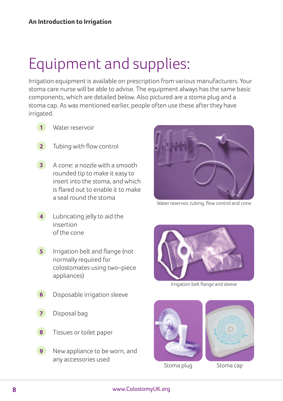### Equipment and supplies:

Irrigation equipment is available on prescription from various manufacturers. Your stoma care nurse will be able to advise. The equipment always has the same basic components, which are detailed below. Also pictured are a stoma plug and a stoma cap. As was mentioned earlier, people often use these after they have irrigated.

- Water reservoir **1**
- Tubing with flow control **2**
- A cone: a nozzle with a smooth **3** rounded tip to make it easy to insert into the stoma, and which is flared out to enable it to make a seal round the stoma
- Lubricating jelly to aid the insertion of the cone **4**
- **5** Irrigation belt and flange (not normally required for colostomates using two–piece appliances)
- Disposable irrigation sleeve **6**
- Disposal bag **7**
- Tissues or toilet paper **8**
- New appliance to be worn, and any accessories used **9**

![](_page_7_Picture_12.jpeg)

Water reservoir, tubing, flow control and cone

![](_page_7_Picture_14.jpeg)

Irrigation belt flange and sleeve

![](_page_7_Picture_16.jpeg)

Stoma plug Stoma cap

![](_page_7_Picture_18.jpeg)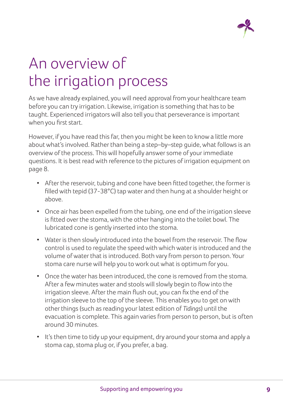![](_page_8_Picture_0.jpeg)

### An overview of the irrigation process

As we have already explained, you will need approval from your healthcare team before you can try irrigation. Likewise, irrigation is something that has to be taught. Experienced irrigators will also tell you that perseverance is important when you first start.

However, if you have read this far, then you might be keen to know a little more about what's involved. Rather than being a step–by–step guide, what follows is an overview of the process. This will hopefully answer some of your immediate questions. It is best read with reference to the pictures of irrigation equipment on page 8.

- After the reservoir, tubing and cone have been fitted together, the former is filled with tepid (37-38°C) tap water and then hung at a shoulder height or above.
- Once air has been expelled from the tubing, one end of the irrigation sleeve is fitted over the stoma, with the other hanging into the toilet bowl. The lubricated cone is gently inserted into the stoma.
- Water is then slowly introduced into the bowel from the reservoir. The flow control is used to regulate the speed with which water is introduced and the volume of water that is introduced. Both vary from person to person. Your stoma care nurse will help you to work out what is optimum for you.
- Once the water has been introduced, the cone is removed from the stoma. After a few minutes water and stools will slowly begin to flow into the irrigation sleeve. After the main flush out, you can fix the end of the irrigation sleeve to the top of the sleeve. This enables you to get on with other things (such as reading your latest edition of *Tidings*) until the evacuation is complete. This again varies from person to person, but is often around 30 minutes.
- It's then time to tidy up your equipment, dry around your stoma and apply a stoma cap, stoma plug or, if you prefer, a bag.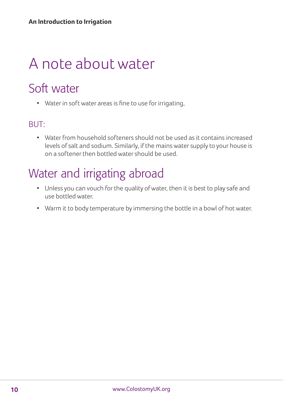### A note about water

### Soft water

• Water in soft water areas is fine to use for irrigating,

#### BUT:

• Water from household softeners should not be used as it contains increased levels of salt and sodium. Similarly, if the mains water supply to your house is on a softener then bottled watershould be used.

### Water and irrigating abroad

- Unless you can vouch for the quality ofwater, then it is best to play safe and use bottled water.
- Warm it to body temperature by immersing the bottle in a bowl of hot water.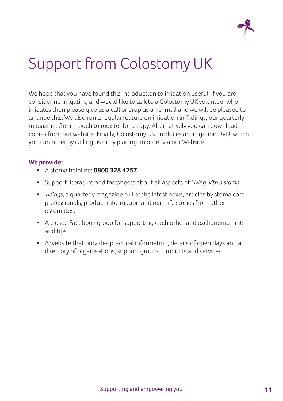![](_page_10_Picture_0.jpeg)

### Support from Colostomy UK

We hope that you have found this introduction to irrigation useful. If you are considering irrigating and would like to talk to a Colostomy UK volunteerwho irrigates then please give us a call or drop us an e-mail and we will be pleased to arrange this. We also run a regular feature on irrigation in Tidings, our quarterly magazine. Get in touch to register for a copy. Alternatively you can download copies from ourwebsite. Finally, Colostomy UK produces an irrigation DVD, which you can order by calling us or by placing an order via our Website.

#### **We provide:**

- A stoma helpline: **0800 328 4257.**
- Support literature and factsheets about all aspects of *Living with a stoma.*
- *Tidings,* a quarterly magazine full of the latest news, articles by stoma care professionals, product information and real–life stories from other ostomates.
- A closed Facebook group forsupporting each other and exchanging hints and tips.
- A website that provides practical information, details of open days and a directory of organisations, support groups, products and services.